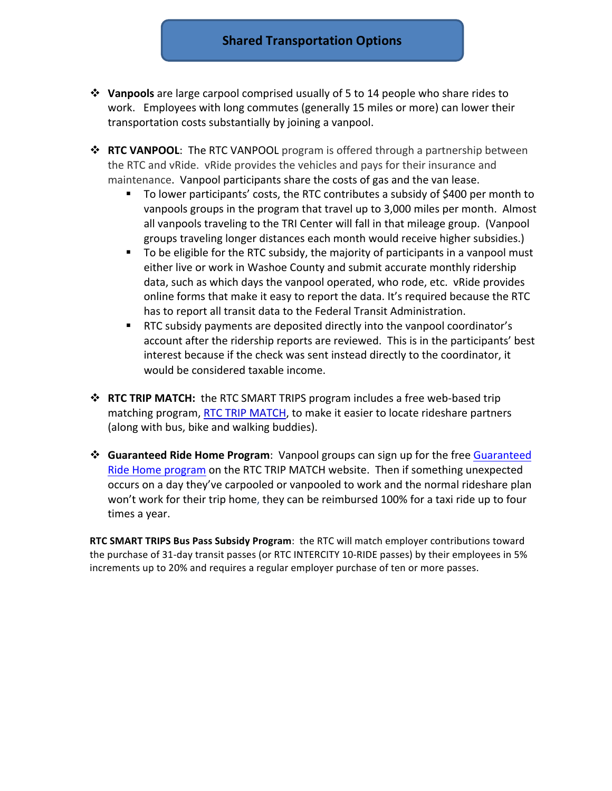- **Vanpools** are large carpool comprised usually of 5 to 14 people who share rides to work. Employees with long commutes (generally 15 miles or more) can lower their transportation costs substantially by joining a vanpool.
- **→ RTC VANPOOL**: The RTC VANPOOL program is offered through a partnership between the RTC and vRide. vRide provides the vehicles and pays for their insurance and maintenance. Vanpool participants share the costs of gas and the van lease.
	- To lower participants' costs, the RTC contributes a subsidy of \$400 per month to vanpools groups in the program that travel up to 3,000 miles per month. Almost all vanpools traveling to the TRI Center will fall in that mileage group. (Vanpool groups traveling longer distances each month would receive higher subsidies.)
	- To be eligible for the RTC subsidy, the majority of participants in a vanpool must either live or work in Washoe County and submit accurate monthly ridership data, such as which days the vanpool operated, who rode, etc. vRide provides online forms that make it easy to report the data. It's required because the RTC has to report all transit data to the Federal Transit Administration.
	- **RTC** subsidy payments are deposited directly into the vanpool coordinator's account after the ridership reports are reviewed. This is in the participants' best interest because if the check was sent instead directly to the coordinator, it would be considered taxable income.
- **RTC TRIP MATCH:** the RTC SMART TRIPS program includes a free web-based trip matching program, RTC TRIP MATCH, to make it easier to locate rideshare partners (along with bus, bike and walking buddies).
- $\dots$  Guaranteed Ride Home Program: Vanpool groups can sign up for the free Guaranteed Ride Home program on the RTC TRIP MATCH website. Then if something unexpected occurs on a day they've carpooled or vanpooled to work and the normal rideshare plan won't work for their trip home, they can be reimbursed 100% for a taxi ride up to four times a year.

**RTC SMART TRIPS Bus Pass Subsidy Program:** the RTC will match employer contributions toward the purchase of 31-day transit passes (or RTC INTERCITY 10-RIDE passes) by their employees in 5% increments up to 20% and requires a regular employer purchase of ten or more passes.